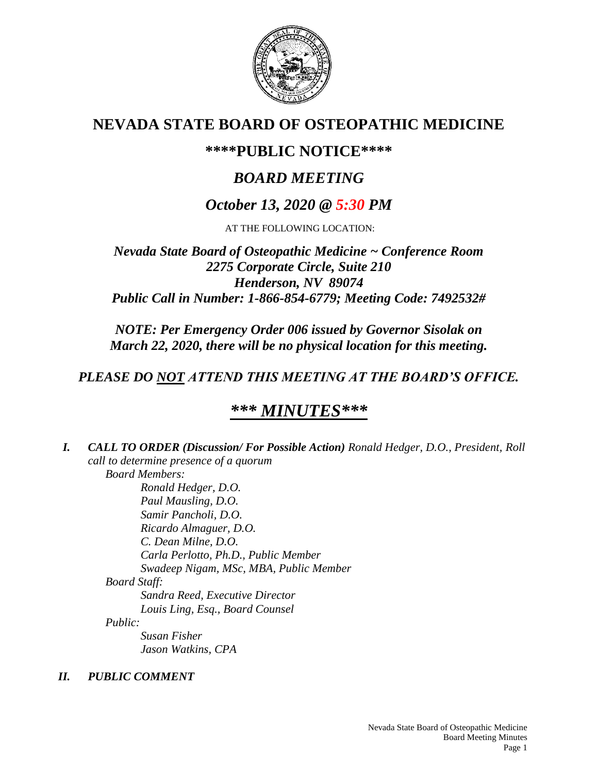

# **NEVADA STATE BOARD OF OSTEOPATHIC MEDICINE**

# **\*\*\*\*PUBLIC NOTICE\*\*\*\***

# *BOARD MEETING*

# *October 13, 2020 @ 5:30 PM*

AT THE FOLLOWING LOCATION:

# *Nevada State Board of Osteopathic Medicine ~ Conference Room 2275 Corporate Circle, Suite 210 Henderson, NV 89074 Public Call in Number: 1-866-854-6779; Meeting Code: 7492532#*

*NOTE: Per Emergency Order 006 issued by Governor Sisolak on March 22, 2020, there will be no physical location for this meeting.*

# *PLEASE DO NOT ATTEND THIS MEETING AT THE BOARD'S OFFICE.*

# *\*\*\* MINUTES\*\*\**

*I. CALL TO ORDER (Discussion/ For Possible Action) Ronald Hedger, D.O., President, Roll call to determine presence of a quorum Board Members: Ronald Hedger, D.O. Paul Mausling, D.O. Samir Pancholi, D.O. Ricardo Almaguer, D.O. C. Dean Milne, D.O. Carla Perlotto, Ph.D., Public Member Swadeep Nigam, MSc, MBA, Public Member Board Staff: Sandra Reed, Executive Director Louis Ling, Esq., Board Counsel Public: Susan Fisher Jason Watkins, CPA*

# *II. PUBLIC COMMENT*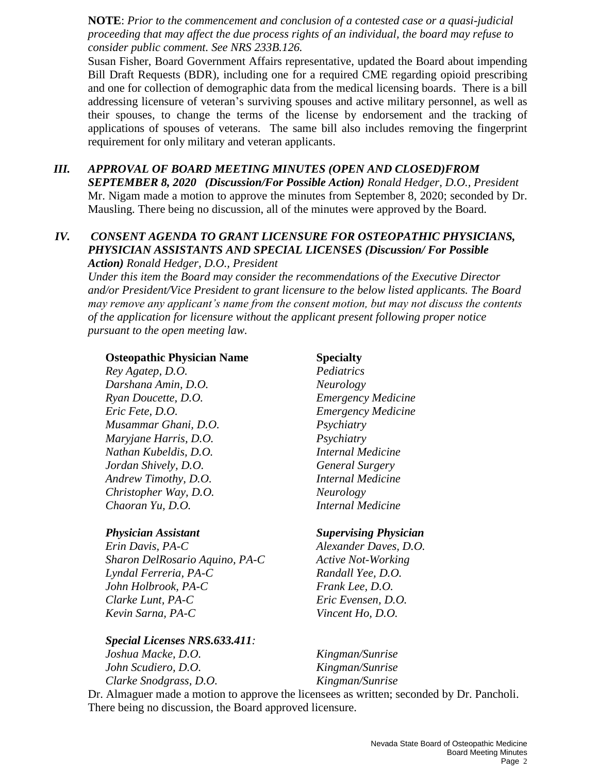**NOTE**: *Prior to the commencement and conclusion of a contested case or a quasi-judicial proceeding that may affect the due process rights of an individual, the board may refuse to consider public comment. See NRS 233B.126.*

Susan Fisher, Board Government Affairs representative, updated the Board about impending Bill Draft Requests (BDR), including one for a required CME regarding opioid prescribing and one for collection of demographic data from the medical licensing boards. There is a bill addressing licensure of veteran's surviving spouses and active military personnel, as well as their spouses, to change the terms of the license by endorsement and the tracking of applications of spouses of veterans. The same bill also includes removing the fingerprint requirement for only military and veteran applicants.

*III. APPROVAL OF BOARD MEETING MINUTES (OPEN AND CLOSED)FROM SEPTEMBER 8, 2020 (Discussion/For Possible Action) Ronald Hedger, D.O., President* Mr. Nigam made a motion to approve the minutes from September 8, 2020; seconded by Dr. Mausling. There being no discussion, all of the minutes were approved by the Board.

### *IV. CONSENT AGENDA TO GRANT LICENSURE FOR OSTEOPATHIC PHYSICIANS, PHYSICIAN ASSISTANTS AND SPECIAL LICENSES (Discussion/ For Possible Action) Ronald Hedger, D.O., President*

*Under this item the Board may consider the recommendations of the Executive Director and/or President/Vice President to grant licensure to the below listed applicants. The Board may remove any applicant's name from the consent motion, but may not discuss the contents of the application for licensure without the applicant present following proper notice pursuant to the open meeting law.*

### **Osteopathic Physician Name Specialty**

*Rey Agatep, D.O. Pediatrics Darshana Amin, D.O. Neurology Ryan Doucette, D.O. Emergency Medicine Eric Fete, D.O. Emergency Medicine Musammar Ghani, D.O. Psychiatry Maryjane Harris, D.O. Psychiatry Nathan Kubeldis, D.O. Internal Medicine Jordan Shively, D.O. General Surgery Andrew Timothy, D.O. Internal Medicine Christopher Way, D.O. Neurology Chaoran Yu, D.O. Internal Medicine*

*Erin Davis, PA-C Alexander Daves, D.O. Sharon DelRosario Aquino, PA-C Active Not-Working Lyndal Ferreria, PA-C Randall Yee, D.O. John Holbrook, PA-C Frank Lee, D.O. Clarke Lunt, PA-C Eric Evensen, D.O. Kevin Sarna, PA-C Vincent Ho, D.O.*

*Special Licenses NRS.633.411:*

*John Scudiero, D.O. Kingman/Sunrise Clarke Snodgrass, D.O. Kingman/Sunrise*

## *Physician Assistant Supervising Physician*

*Joshua Macke, D.O. Kingman/Sunrise*

Dr. Almaguer made a motion to approve the licensees as written; seconded by Dr. Pancholi. There being no discussion, the Board approved licensure.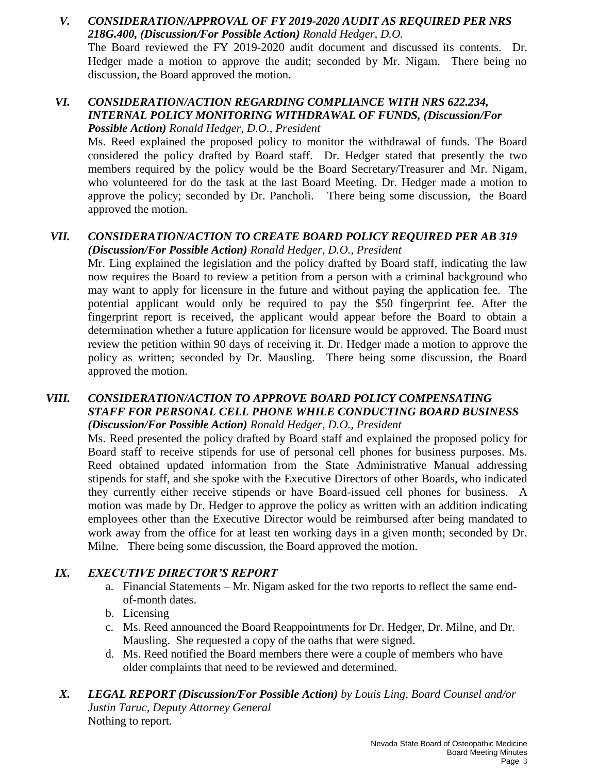# *V. CONSIDERATION/APPROVAL OF FY 2019-2020 AUDIT AS REQUIRED PER NRS 218G.400, (Discussion/For Possible Action) Ronald Hedger, D.O.*

The Board reviewed the FY 2019-2020 audit document and discussed its contents. Dr. Hedger made a motion to approve the audit; seconded by Mr. Nigam. There being no discussion, the Board approved the motion.

## *VI. CONSIDERATION/ACTION REGARDING COMPLIANCE WITH NRS 622.234, INTERNAL POLICY MONITORING WITHDRAWAL OF FUNDS, (Discussion/For Possible Action) Ronald Hedger, D.O., President*

Ms. Reed explained the proposed policy to monitor the withdrawal of funds. The Board considered the policy drafted by Board staff. Dr. Hedger stated that presently the two members required by the policy would be the Board Secretary/Treasurer and Mr. Nigam, who volunteered for do the task at the last Board Meeting. Dr. Hedger made a motion to approve the policy; seconded by Dr. Pancholi. There being some discussion, the Board approved the motion.

## *VII. CONSIDERATION/ACTION TO CREATE BOARD POLICY REQUIRED PER AB 319 (Discussion/For Possible Action) Ronald Hedger, D.O., President*

Mr. Ling explained the legislation and the policy drafted by Board staff, indicating the law now requires the Board to review a petition from a person with a criminal background who may want to apply for licensure in the future and without paying the application fee. The potential applicant would only be required to pay the \$50 fingerprint fee. After the fingerprint report is received, the applicant would appear before the Board to obtain a determination whether a future application for licensure would be approved. The Board must review the petition within 90 days of receiving it. Dr. Hedger made a motion to approve the policy as written; seconded by Dr. Mausling. There being some discussion, the Board approved the motion.

### *VIII. CONSIDERATION/ACTION TO APPROVE BOARD POLICY COMPENSATING STAFF FOR PERSONAL CELL PHONE WHILE CONDUCTING BOARD BUSINESS (Discussion/For Possible Action) Ronald Hedger, D.O., President*

Ms. Reed presented the policy drafted by Board staff and explained the proposed policy for Board staff to receive stipends for use of personal cell phones for business purposes. Ms. Reed obtained updated information from the State Administrative Manual addressing stipends for staff, and she spoke with the Executive Directors of other Boards, who indicated they currently either receive stipends or have Board-issued cell phones for business. A motion was made by Dr. Hedger to approve the policy as written with an addition indicating employees other than the Executive Director would be reimbursed after being mandated to work away from the office for at least ten working days in a given month; seconded by Dr. Milne. There being some discussion, the Board approved the motion.

## *IX. EXECUTIVE DIRECTOR'S REPORT*

- a. Financial Statements Mr. Nigam asked for the two reports to reflect the same endof-month dates.
- b. Licensing
- c. Ms. Reed announced the Board Reappointments for Dr. Hedger, Dr. Milne, and Dr. Mausling. She requested a copy of the oaths that were signed.
- d. Ms. Reed notified the Board members there were a couple of members who have older complaints that need to be reviewed and determined.
- *X. LEGAL REPORT (Discussion/For Possible Action) by Louis Ling, Board Counsel and/or Justin Taruc, Deputy Attorney General*  Nothing to report.